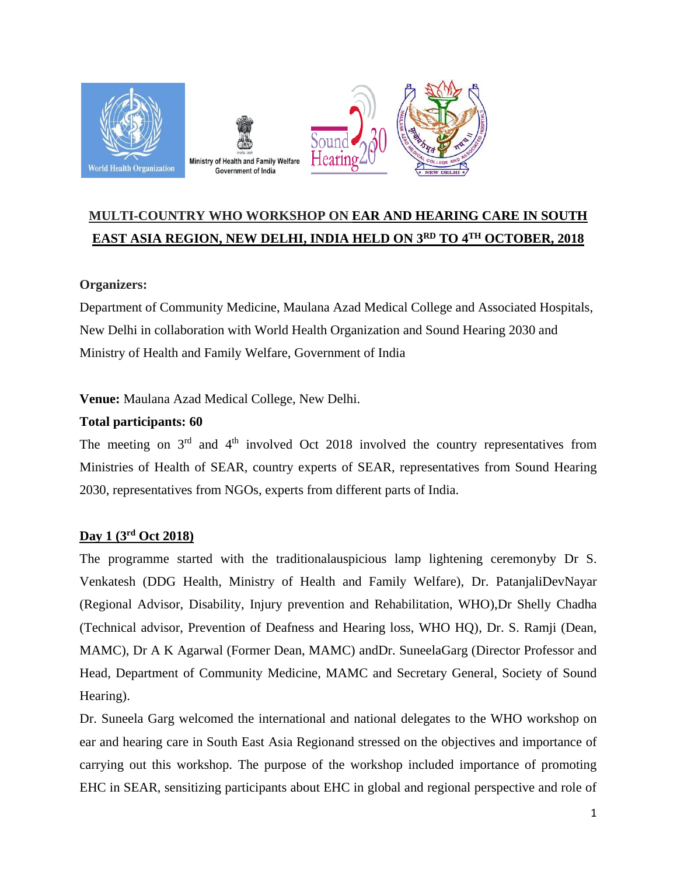

# **MULTI-COUNTRY WHO WORKSHOP ON EAR AND HEARING CARE IN SOUTH EAST ASIA REGION, NEW DELHI, INDIA HELD ON 3RD TO 4 TH OCTOBER, 2018**

# **Organizers:**

Department of Community Medicine, Maulana Azad Medical College and Associated Hospitals, New Delhi in collaboration with World Health Organization and Sound Hearing 2030 and Ministry of Health and Family Welfare, Government of India

**Venue:** Maulana Azad Medical College, New Delhi.

# **Total participants: 60**

The meeting on  $3<sup>rd</sup>$  and  $4<sup>th</sup>$  involved Oct 2018 involved the country representatives from Ministries of Health of SEAR, country experts of SEAR, representatives from Sound Hearing 2030, representatives from NGOs, experts from different parts of India.

## **Day 1 (3rd Oct 2018)**

The programme started with the traditionalauspicious lamp lightening ceremonyby Dr S. Venkatesh (DDG Health, Ministry of Health and Family Welfare), Dr. PatanjaliDevNayar (Regional Advisor, Disability, Injury prevention and Rehabilitation, WHO),Dr Shelly Chadha (Technical advisor, Prevention of Deafness and Hearing loss, WHO HQ), Dr. S. Ramji (Dean, MAMC), Dr A K Agarwal (Former Dean, MAMC) andDr. SuneelaGarg (Director Professor and Head, Department of Community Medicine, MAMC and Secretary General, Society of Sound Hearing).

Dr. Suneela Garg welcomed the international and national delegates to the WHO workshop on ear and hearing care in South East Asia Regionand stressed on the objectives and importance of carrying out this workshop. The purpose of the workshop included importance of promoting EHC in SEAR, sensitizing participants about EHC in global and regional perspective and role of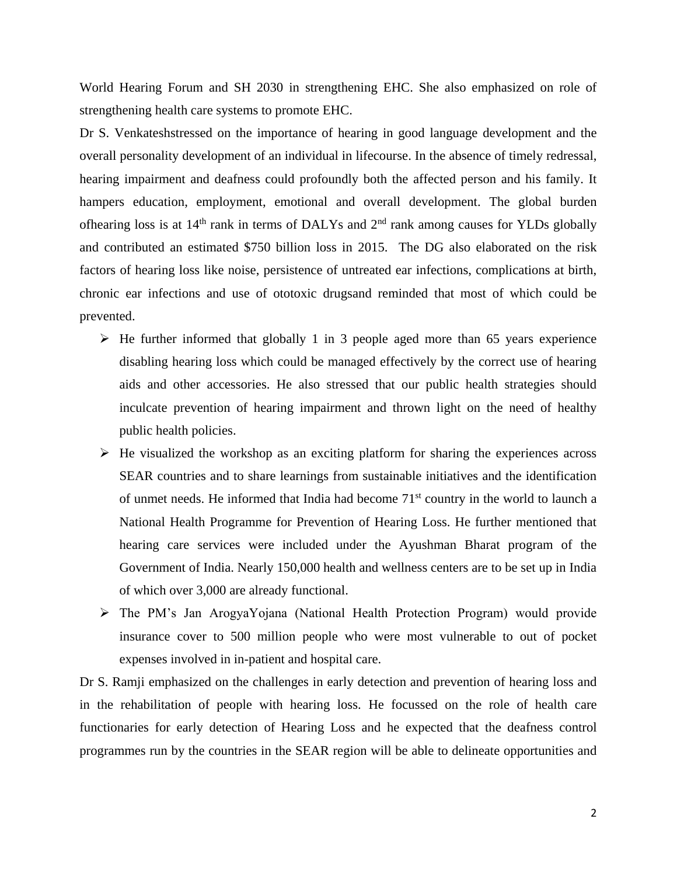World Hearing Forum and SH 2030 in strengthening EHC. She also emphasized on role of strengthening health care systems to promote EHC.

Dr S. Venkateshstressed on the importance of hearing in good language development and the overall personality development of an individual in lifecourse. In the absence of timely redressal, hearing impairment and deafness could profoundly both the affected person and his family. It hampers education, employment, emotional and overall development. The global burden ofhearing loss is at  $14<sup>th</sup>$  rank in terms of DALYs and  $2<sup>nd</sup>$  rank among causes for YLDs globally and contributed an estimated \$750 billion loss in 2015. The DG also elaborated on the risk factors of hearing loss like noise, persistence of untreated ear infections, complications at birth, chronic ear infections and use of ototoxic drugsand reminded that most of which could be prevented.

- $\triangleright$  He further informed that globally 1 in 3 people aged more than 65 years experience disabling hearing loss which could be managed effectively by the correct use of hearing aids and other accessories. He also stressed that our public health strategies should inculcate prevention of hearing impairment and thrown light on the need of healthy public health policies.
- $\triangleright$  He visualized the workshop as an exciting platform for sharing the experiences across SEAR countries and to share learnings from sustainable initiatives and the identification of unmet needs. He informed that India had become  $71<sup>st</sup>$  country in the world to launch a National Health Programme for Prevention of Hearing Loss. He further mentioned that hearing care services were included under the Ayushman Bharat program of the Government of India. Nearly 150,000 health and wellness centers are to be set up in India of which over 3,000 are already functional.
- The PM's Jan ArogyaYojana (National Health Protection Program) would provide insurance cover to 500 million people who were most vulnerable to out of pocket expenses involved in in-patient and hospital care.

Dr S. Ramji emphasized on the challenges in early detection and prevention of hearing loss and in the rehabilitation of people with hearing loss. He focussed on the role of health care functionaries for early detection of Hearing Loss and he expected that the deafness control programmes run by the countries in the SEAR region will be able to delineate opportunities and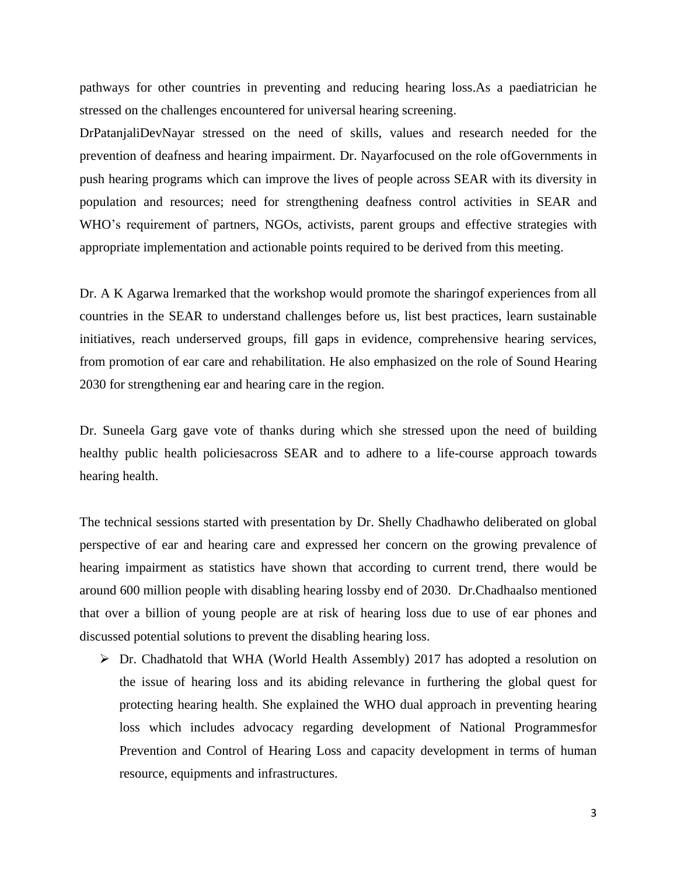pathways for other countries in preventing and reducing hearing loss.As a paediatrician he stressed on the challenges encountered for universal hearing screening.

DrPatanjaliDevNayar stressed on the need of skills, values and research needed for the prevention of deafness and hearing impairment. Dr. Nayarfocused on the role ofGovernments in push hearing programs which can improve the lives of people across SEAR with its diversity in population and resources; need for strengthening deafness control activities in SEAR and WHO's requirement of partners, NGOs, activists, parent groups and effective strategies with appropriate implementation and actionable points required to be derived from this meeting.

Dr. A K Agarwa lremarked that the workshop would promote the sharingof experiences from all countries in the SEAR to understand challenges before us, list best practices, learn sustainable initiatives, reach underserved groups, fill gaps in evidence, comprehensive hearing services, from promotion of ear care and rehabilitation. He also emphasized on the role of Sound Hearing 2030 for strengthening ear and hearing care in the region.

Dr. Suneela Garg gave vote of thanks during which she stressed upon the need of building healthy public health policiesacross SEAR and to adhere to a life-course approach towards hearing health.

The technical sessions started with presentation by Dr. Shelly Chadhawho deliberated on global perspective of ear and hearing care and expressed her concern on the growing prevalence of hearing impairment as statistics have shown that according to current trend, there would be around 600 million people with disabling hearing lossby end of 2030. Dr.Chadhaalso mentioned that over a billion of young people are at risk of hearing loss due to use of ear phones and discussed potential solutions to prevent the disabling hearing loss.

 $\triangleright$  Dr. Chadhatold that WHA (World Health Assembly) 2017 has adopted a resolution on the issue of hearing loss and its abiding relevance in furthering the global quest for protecting hearing health. She explained the WHO dual approach in preventing hearing loss which includes advocacy regarding development of National Programmesfor Prevention and Control of Hearing Loss and capacity development in terms of human resource, equipments and infrastructures.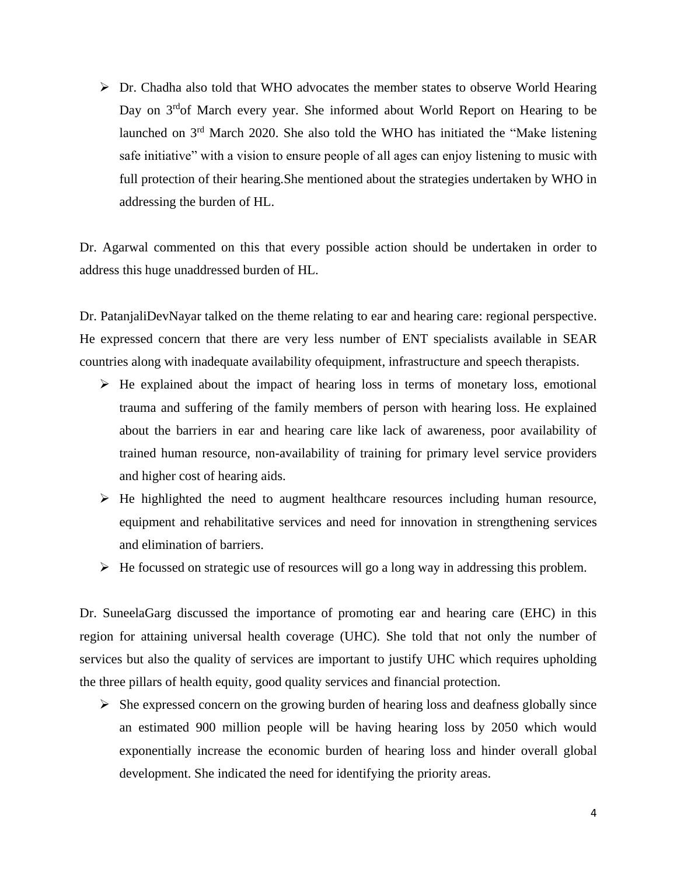$\triangleright$  Dr. Chadha also told that WHO advocates the member states to observe World Hearing Day on 3<sup>rd</sup> of March every year. She informed about World Report on Hearing to be launched on 3rd March 2020. She also told the WHO has initiated the "Make listening safe initiative" with a vision to ensure people of all ages can enjoy listening to music with full protection of their hearing.She mentioned about the strategies undertaken by WHO in addressing the burden of HL.

Dr. Agarwal commented on this that every possible action should be undertaken in order to address this huge unaddressed burden of HL.

Dr. PatanjaliDevNayar talked on the theme relating to ear and hearing care: regional perspective. He expressed concern that there are very less number of ENT specialists available in SEAR countries along with inadequate availability ofequipment, infrastructure and speech therapists.

- $\triangleright$  He explained about the impact of hearing loss in terms of monetary loss, emotional trauma and suffering of the family members of person with hearing loss. He explained about the barriers in ear and hearing care like lack of awareness, poor availability of trained human resource, non-availability of training for primary level service providers and higher cost of hearing aids.
- $\triangleright$  He highlighted the need to augment healthcare resources including human resource, equipment and rehabilitative services and need for innovation in strengthening services and elimination of barriers.
- $\triangleright$  He focussed on strategic use of resources will go a long way in addressing this problem.

Dr. SuneelaGarg discussed the importance of promoting ear and hearing care (EHC) in this region for attaining universal health coverage (UHC). She told that not only the number of services but also the quality of services are important to justify UHC which requires upholding the three pillars of health equity, good quality services and financial protection.

 $\triangleright$  She expressed concern on the growing burden of hearing loss and deafness globally since an estimated 900 million people will be having hearing loss by 2050 which would exponentially increase the economic burden of hearing loss and hinder overall global development. She indicated the need for identifying the priority areas.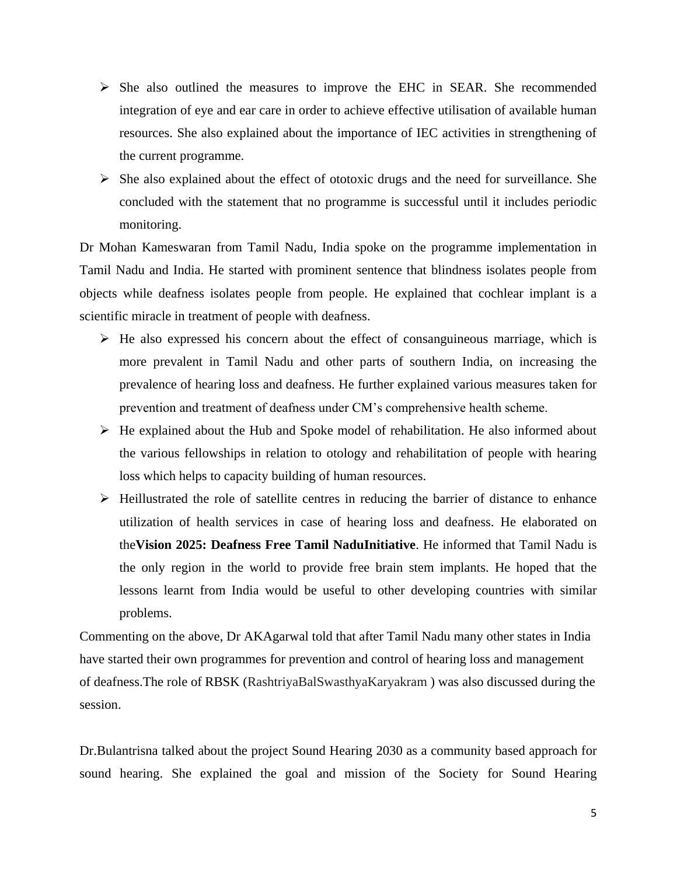- $\triangleright$  She also outlined the measures to improve the EHC in SEAR. She recommended integration of eye and ear care in order to achieve effective utilisation of available human resources. She also explained about the importance of IEC activities in strengthening of the current programme.
- $\triangleright$  She also explained about the effect of ototoxic drugs and the need for surveillance. She concluded with the statement that no programme is successful until it includes periodic monitoring.

Dr Mohan Kameswaran from Tamil Nadu, India spoke on the programme implementation in Tamil Nadu and India. He started with prominent sentence that blindness isolates people from objects while deafness isolates people from people. He explained that cochlear implant is a scientific miracle in treatment of people with deafness.

- $\triangleright$  He also expressed his concern about the effect of consanguineous marriage, which is more prevalent in Tamil Nadu and other parts of southern India, on increasing the prevalence of hearing loss and deafness. He further explained various measures taken for prevention and treatment of deafness under CM's comprehensive health scheme.
- $\triangleright$  He explained about the Hub and Spoke model of rehabilitation. He also informed about the various fellowships in relation to otology and rehabilitation of people with hearing loss which helps to capacity building of human resources.
- $\triangleright$  Heillustrated the role of satellite centres in reducing the barrier of distance to enhance utilization of health services in case of hearing loss and deafness. He elaborated on the**Vision 2025: Deafness Free Tamil NaduInitiative**. He informed that Tamil Nadu is the only region in the world to provide free brain stem implants. He hoped that the lessons learnt from India would be useful to other developing countries with similar problems.

Commenting on the above, Dr AKAgarwal told that after Tamil Nadu many other states in India have started their own programmes for prevention and control of hearing loss and management of deafness.The role of RBSK (RashtriyaBalSwasthyaKaryakram ) was also discussed during the session.

Dr.Bulantrisna talked about the project Sound Hearing 2030 as a community based approach for sound hearing. She explained the goal and mission of the Society for Sound Hearing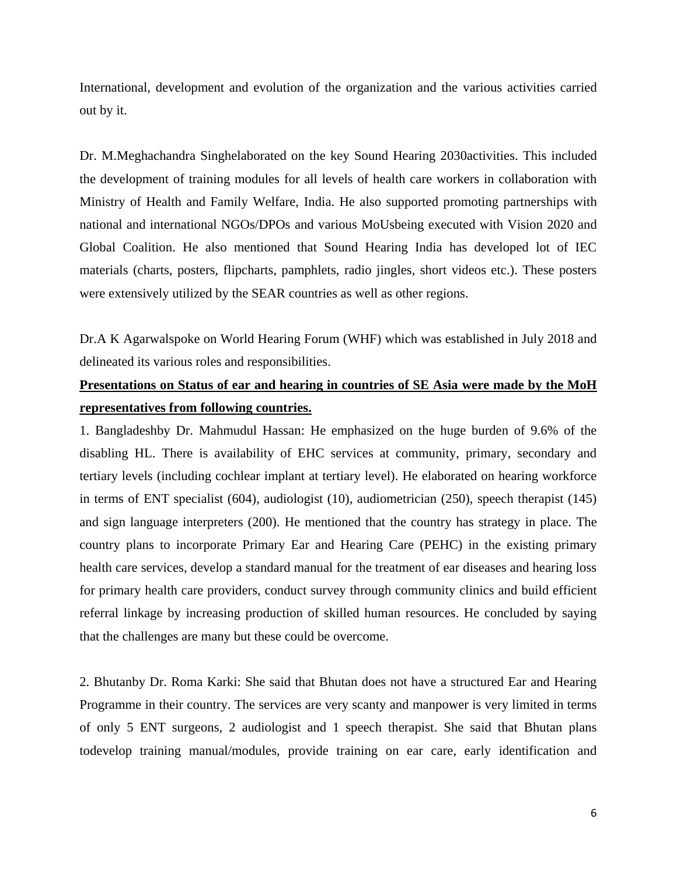International, development and evolution of the organization and the various activities carried out by it.

Dr. M.Meghachandra Singhelaborated on the key Sound Hearing 2030activities. This included the development of training modules for all levels of health care workers in collaboration with Ministry of Health and Family Welfare, India. He also supported promoting partnerships with national and international NGOs/DPOs and various MoUsbeing executed with Vision 2020 and Global Coalition. He also mentioned that Sound Hearing India has developed lot of IEC materials (charts, posters, flipcharts, pamphlets, radio jingles, short videos etc.). These posters were extensively utilized by the SEAR countries as well as other regions.

Dr.A K Agarwalspoke on World Hearing Forum (WHF) which was established in July 2018 and delineated its various roles and responsibilities.

# **Presentations on Status of ear and hearing in countries of SE Asia were made by the MoH representatives from following countries.**

1. Bangladeshby Dr. Mahmudul Hassan: He emphasized on the huge burden of 9.6% of the disabling HL. There is availability of EHC services at community, primary, secondary and tertiary levels (including cochlear implant at tertiary level). He elaborated on hearing workforce in terms of ENT specialist (604), audiologist (10), audiometrician (250), speech therapist (145) and sign language interpreters (200). He mentioned that the country has strategy in place. The country plans to incorporate Primary Ear and Hearing Care (PEHC) in the existing primary health care services, develop a standard manual for the treatment of ear diseases and hearing loss for primary health care providers, conduct survey through community clinics and build efficient referral linkage by increasing production of skilled human resources. He concluded by saying that the challenges are many but these could be overcome.

2. Bhutanby Dr. Roma Karki: She said that Bhutan does not have a structured Ear and Hearing Programme in their country. The services are very scanty and manpower is very limited in terms of only 5 ENT surgeons, 2 audiologist and 1 speech therapist. She said that Bhutan plans todevelop training manual/modules, provide training on ear care, early identification and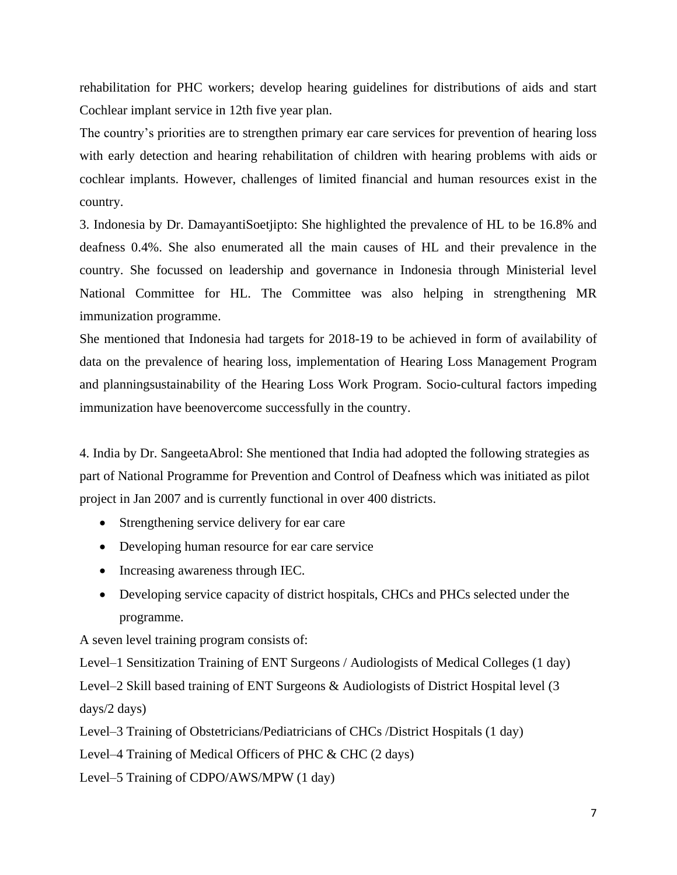rehabilitation for PHC workers; develop hearing guidelines for distributions of aids and start Cochlear implant service in 12th five year plan.

The country's priorities are to strengthen primary ear care services for prevention of hearing loss with early detection and hearing rehabilitation of children with hearing problems with aids or cochlear implants. However, challenges of limited financial and human resources exist in the country.

3. Indonesia by Dr. DamayantiSoetjipto: She highlighted the prevalence of HL to be 16.8% and deafness 0.4%. She also enumerated all the main causes of HL and their prevalence in the country. She focussed on leadership and governance in Indonesia through Ministerial level National Committee for HL. The Committee was also helping in strengthening MR immunization programme.

She mentioned that Indonesia had targets for 2018-19 to be achieved in form of availability of data on the prevalence of hearing loss, implementation of Hearing Loss Management Program and planningsustainability of the Hearing Loss Work Program. Socio-cultural factors impeding immunization have beenovercome successfully in the country.

4. India by Dr. SangeetaAbrol: She mentioned that India had adopted the following strategies as part of National Programme for Prevention and Control of Deafness which was initiated as pilot project in Jan 2007 and is currently functional in over 400 districts.

- Strengthening service delivery for ear care
- Developing human resource for ear care service
- Increasing awareness through IEC.
- Developing service capacity of district hospitals, CHCs and PHCs selected under the programme.

A seven level training program consists of:

Level–1 Sensitization Training of ENT Surgeons / Audiologists of Medical Colleges (1 day) Level–2 Skill based training of ENT Surgeons & Audiologists of District Hospital level (3 days/2 days)

Level–3 Training of Obstetricians/Pediatricians of CHCs /District Hospitals (1 day)

Level–4 Training of Medical Officers of PHC & CHC (2 days)

Level–5 Training of CDPO/AWS/MPW (1 day)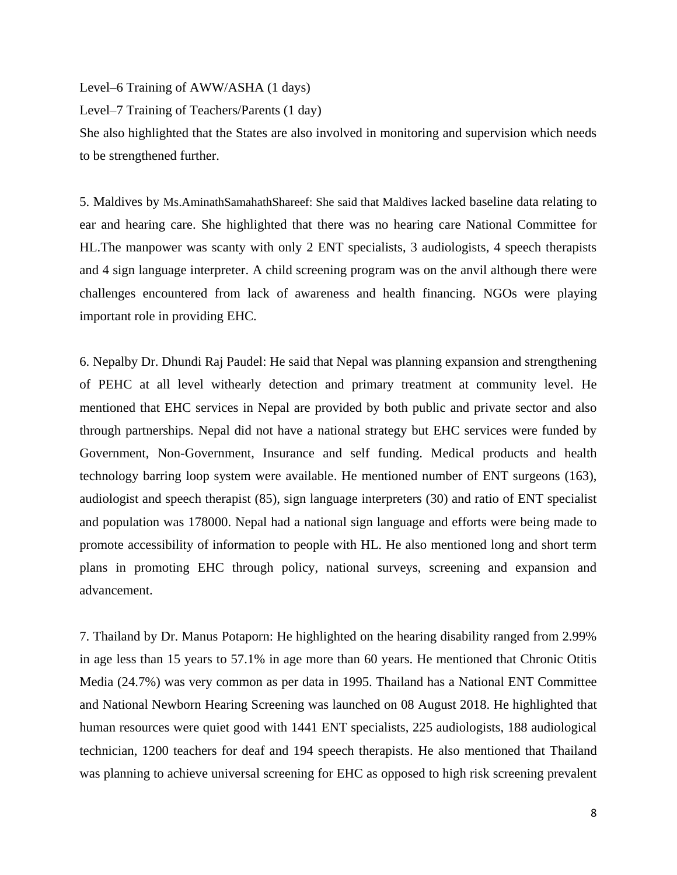Level–6 Training of AWW/ASHA (1 days)

Level–7 Training of Teachers/Parents (1 day)

She also highlighted that the States are also involved in monitoring and supervision which needs to be strengthened further.

5. Maldives by Ms.AminathSamahathShareef: She said that Maldives lacked baseline data relating to ear and hearing care. She highlighted that there was no hearing care National Committee for HL.The manpower was scanty with only 2 ENT specialists, 3 audiologists, 4 speech therapists and 4 sign language interpreter. A child screening program was on the anvil although there were challenges encountered from lack of awareness and health financing. NGOs were playing important role in providing EHC.

6. Nepalby Dr. Dhundi Raj Paudel: He said that Nepal was planning expansion and strengthening of PEHC at all level withearly detection and primary treatment at community level. He mentioned that EHC services in Nepal are provided by both public and private sector and also through partnerships. Nepal did not have a national strategy but EHC services were funded by Government, Non-Government, Insurance and self funding. Medical products and health technology barring loop system were available. He mentioned number of ENT surgeons (163), audiologist and speech therapist (85), sign language interpreters (30) and ratio of ENT specialist and population was 178000. Nepal had a national sign language and efforts were being made to promote accessibility of information to people with HL. He also mentioned long and short term plans in promoting EHC through policy, national surveys, screening and expansion and advancement.

7. Thailand by Dr. Manus Potaporn: He highlighted on the hearing disability ranged from 2.99% in age less than 15 years to 57.1% in age more than 60 years. He mentioned that Chronic Otitis Media (24.7%) was very common as per data in 1995. Thailand has a National ENT Committee and National Newborn Hearing Screening was launched on 08 August 2018. He highlighted that human resources were quiet good with 1441 ENT specialists, 225 audiologists, 188 audiological technician, 1200 teachers for deaf and 194 speech therapists. He also mentioned that Thailand was planning to achieve universal screening for EHC as opposed to high risk screening prevalent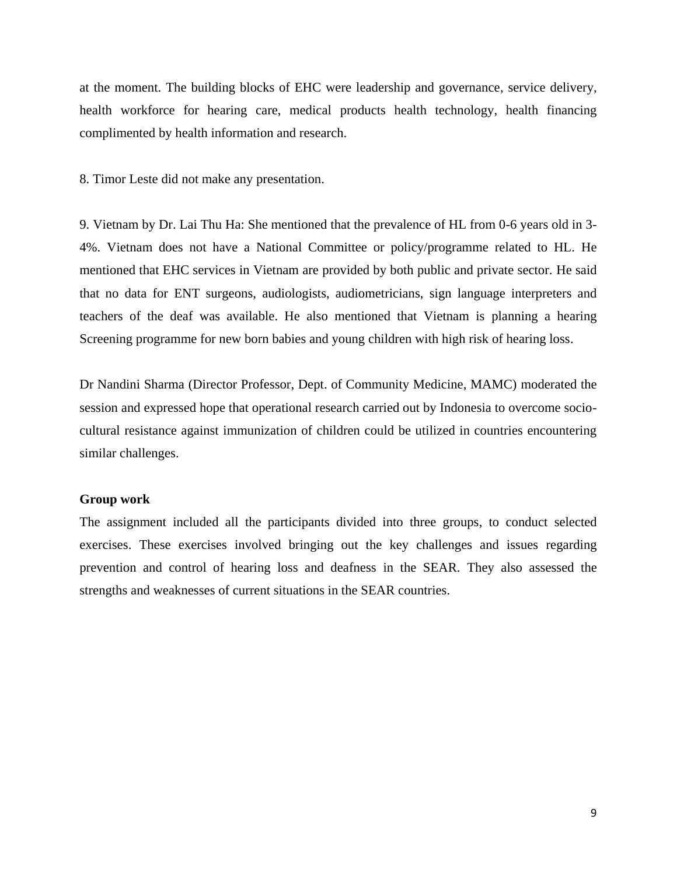at the moment. The building blocks of EHC were leadership and governance, service delivery, health workforce for hearing care, medical products health technology, health financing complimented by health information and research.

8. Timor Leste did not make any presentation.

9. Vietnam by Dr. Lai Thu Ha: She mentioned that the prevalence of HL from 0-6 years old in 3- 4%. Vietnam does not have a National Committee or policy/programme related to HL. He mentioned that EHC services in Vietnam are provided by both public and private sector. He said that no data for ENT surgeons, audiologists, audiometricians, sign language interpreters and teachers of the deaf was available. He also mentioned that Vietnam is planning a hearing Screening programme for new born babies and young children with high risk of hearing loss.

Dr Nandini Sharma (Director Professor, Dept. of Community Medicine, MAMC) moderated the session and expressed hope that operational research carried out by Indonesia to overcome sociocultural resistance against immunization of children could be utilized in countries encountering similar challenges.

#### **Group work**

The assignment included all the participants divided into three groups, to conduct selected exercises. These exercises involved bringing out the key challenges and issues regarding prevention and control of hearing loss and deafness in the SEAR. They also assessed the strengths and weaknesses of current situations in the SEAR countries.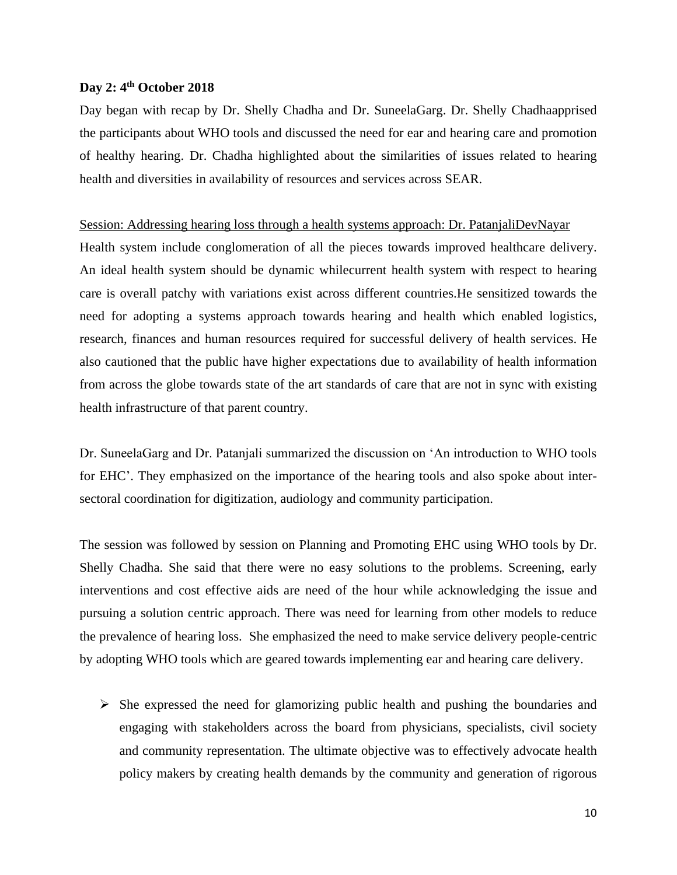#### **Day 2: 4th October 2018**

Day began with recap by Dr. Shelly Chadha and Dr. SuneelaGarg. Dr. Shelly Chadhaapprised the participants about WHO tools and discussed the need for ear and hearing care and promotion of healthy hearing. Dr. Chadha highlighted about the similarities of issues related to hearing health and diversities in availability of resources and services across SEAR.

#### Session: Addressing hearing loss through a health systems approach: Dr. PatanjaliDevNayar

Health system include conglomeration of all the pieces towards improved healthcare delivery. An ideal health system should be dynamic whilecurrent health system with respect to hearing care is overall patchy with variations exist across different countries.He sensitized towards the need for adopting a systems approach towards hearing and health which enabled logistics, research, finances and human resources required for successful delivery of health services. He also cautioned that the public have higher expectations due to availability of health information from across the globe towards state of the art standards of care that are not in sync with existing health infrastructure of that parent country.

Dr. SuneelaGarg and Dr. Patanjali summarized the discussion on 'An introduction to WHO tools for EHC'. They emphasized on the importance of the hearing tools and also spoke about intersectoral coordination for digitization, audiology and community participation.

The session was followed by session on Planning and Promoting EHC using WHO tools by Dr. Shelly Chadha. She said that there were no easy solutions to the problems. Screening, early interventions and cost effective aids are need of the hour while acknowledging the issue and pursuing a solution centric approach. There was need for learning from other models to reduce the prevalence of hearing loss. She emphasized the need to make service delivery people-centric by adopting WHO tools which are geared towards implementing ear and hearing care delivery.

 $\triangleright$  She expressed the need for glamorizing public health and pushing the boundaries and engaging with stakeholders across the board from physicians, specialists, civil society and community representation. The ultimate objective was to effectively advocate health policy makers by creating health demands by the community and generation of rigorous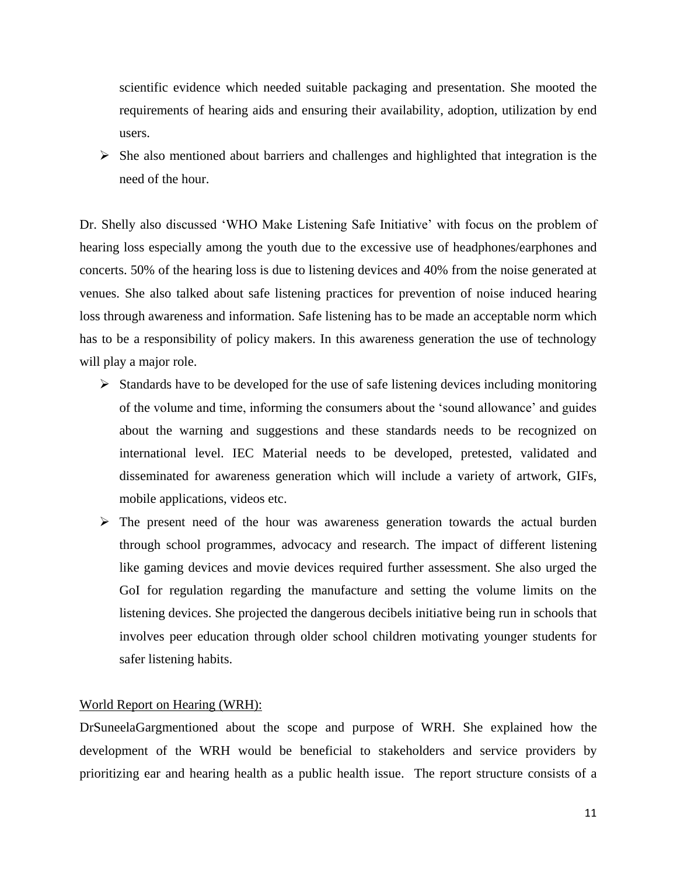scientific evidence which needed suitable packaging and presentation. She mooted the requirements of hearing aids and ensuring their availability, adoption, utilization by end users.

 $\triangleright$  She also mentioned about barriers and challenges and highlighted that integration is the need of the hour.

Dr. Shelly also discussed 'WHO Make Listening Safe Initiative' with focus on the problem of hearing loss especially among the youth due to the excessive use of headphones/earphones and concerts. 50% of the hearing loss is due to listening devices and 40% from the noise generated at venues. She also talked about safe listening practices for prevention of noise induced hearing loss through awareness and information. Safe listening has to be made an acceptable norm which has to be a responsibility of policy makers. In this awareness generation the use of technology will play a major role.

- $\triangleright$  Standards have to be developed for the use of safe listening devices including monitoring of the volume and time, informing the consumers about the 'sound allowance' and guides about the warning and suggestions and these standards needs to be recognized on international level. IEC Material needs to be developed, pretested, validated and disseminated for awareness generation which will include a variety of artwork, GIFs, mobile applications, videos etc.
- $\triangleright$  The present need of the hour was awareness generation towards the actual burden through school programmes, advocacy and research. The impact of different listening like gaming devices and movie devices required further assessment. She also urged the GoI for regulation regarding the manufacture and setting the volume limits on the listening devices. She projected the dangerous decibels initiative being run in schools that involves peer education through older school children motivating younger students for safer listening habits.

#### World Report on Hearing (WRH):

DrSuneelaGargmentioned about the scope and purpose of WRH. She explained how the development of the WRH would be beneficial to stakeholders and service providers by prioritizing ear and hearing health as a public health issue. The report structure consists of a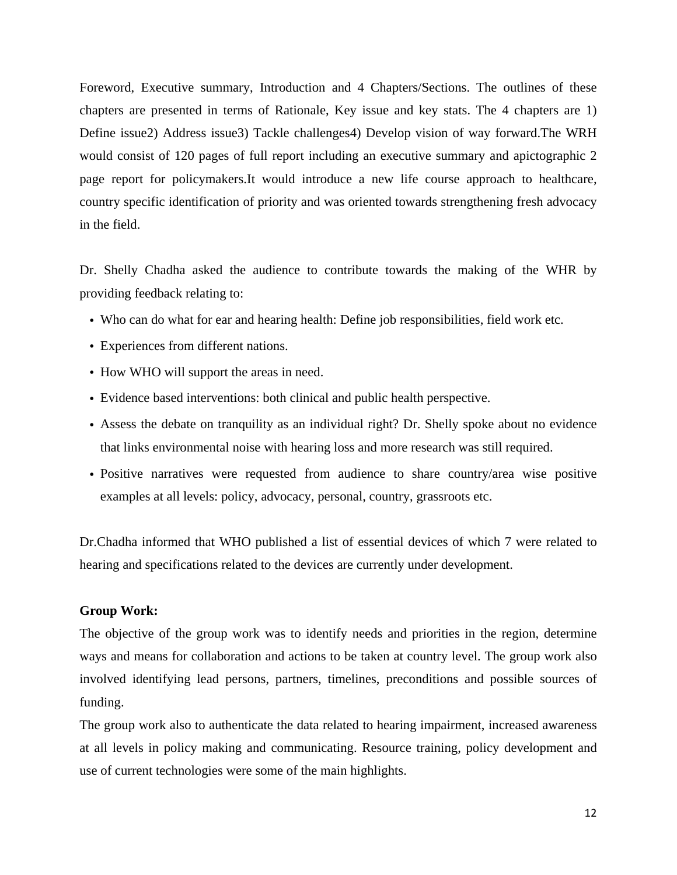Foreword, Executive summary, Introduction and 4 Chapters/Sections. The outlines of these chapters are presented in terms of Rationale, Key issue and key stats. The 4 chapters are 1) Define issue2) Address issue3) Tackle challenges4) Develop vision of way forward.The WRH would consist of 120 pages of full report including an executive summary and apictographic 2 page report for policymakers.It would introduce a new life course approach to healthcare, country specific identification of priority and was oriented towards strengthening fresh advocacy in the field.

Dr. Shelly Chadha asked the audience to contribute towards the making of the WHR by providing feedback relating to:

- Who can do what for ear and hearing health: Define job responsibilities, field work etc.
- Experiences from different nations.
- How WHO will support the areas in need.
- Evidence based interventions: both clinical and public health perspective.
- Assess the debate on tranquility as an individual right? Dr. Shelly spoke about no evidence that links environmental noise with hearing loss and more research was still required.
- Positive narratives were requested from audience to share country/area wise positive examples at all levels: policy, advocacy, personal, country, grassroots etc.

Dr.Chadha informed that WHO published a list of essential devices of which 7 were related to hearing and specifications related to the devices are currently under development.

#### **Group Work:**

The objective of the group work was to identify needs and priorities in the region, determine ways and means for collaboration and actions to be taken at country level. The group work also involved identifying lead persons, partners, timelines, preconditions and possible sources of funding.

The group work also to authenticate the data related to hearing impairment, increased awareness at all levels in policy making and communicating. Resource training, policy development and use of current technologies were some of the main highlights.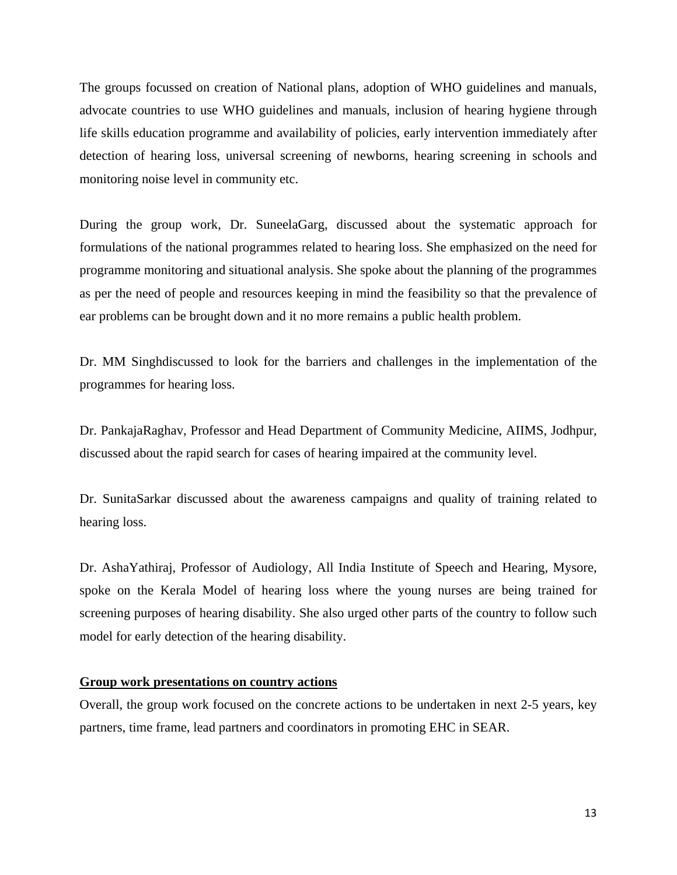The groups focussed on creation of National plans, adoption of WHO guidelines and manuals, advocate countries to use WHO guidelines and manuals, inclusion of hearing hygiene through life skills education programme and availability of policies, early intervention immediately after detection of hearing loss, universal screening of newborns, hearing screening in schools and monitoring noise level in community etc.

During the group work, Dr. SuneelaGarg, discussed about the systematic approach for formulations of the national programmes related to hearing loss. She emphasized on the need for programme monitoring and situational analysis. She spoke about the planning of the programmes as per the need of people and resources keeping in mind the feasibility so that the prevalence of ear problems can be brought down and it no more remains a public health problem.

Dr. MM Singhdiscussed to look for the barriers and challenges in the implementation of the programmes for hearing loss.

Dr. PankajaRaghav, Professor and Head Department of Community Medicine, AIIMS, Jodhpur, discussed about the rapid search for cases of hearing impaired at the community level.

Dr. SunitaSarkar discussed about the awareness campaigns and quality of training related to hearing loss.

Dr. AshaYathiraj, Professor of Audiology, All India Institute of Speech and Hearing, Mysore, spoke on the Kerala Model of hearing loss where the young nurses are being trained for screening purposes of hearing disability. She also urged other parts of the country to follow such model for early detection of the hearing disability.

## **Group work presentations on country actions**

Overall, the group work focused on the concrete actions to be undertaken in next 2-5 years, key partners, time frame, lead partners and coordinators in promoting EHC in SEAR.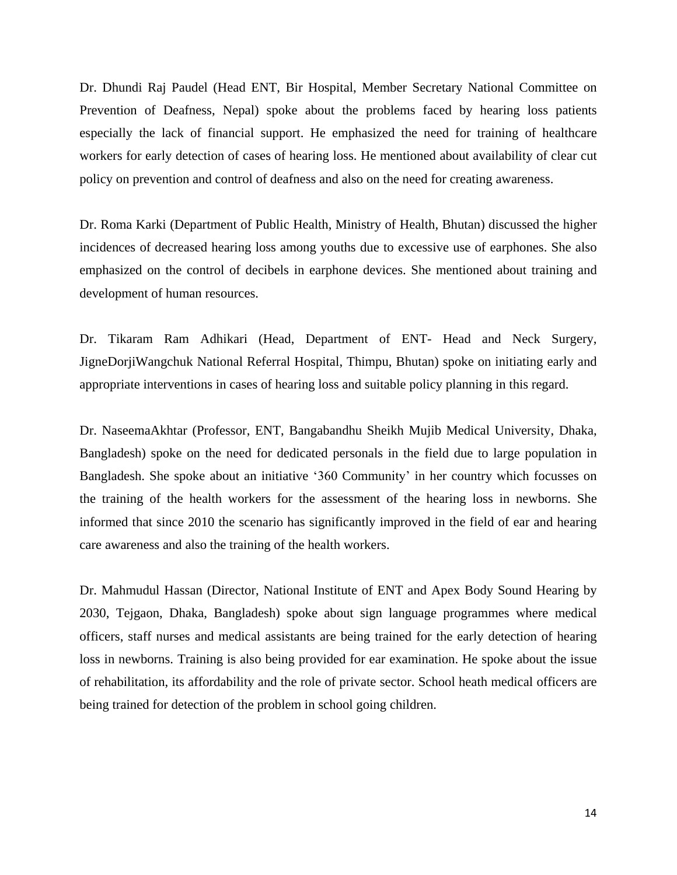Dr. Dhundi Raj Paudel (Head ENT, Bir Hospital, Member Secretary National Committee on Prevention of Deafness, Nepal) spoke about the problems faced by hearing loss patients especially the lack of financial support. He emphasized the need for training of healthcare workers for early detection of cases of hearing loss. He mentioned about availability of clear cut policy on prevention and control of deafness and also on the need for creating awareness.

Dr. Roma Karki (Department of Public Health, Ministry of Health, Bhutan) discussed the higher incidences of decreased hearing loss among youths due to excessive use of earphones. She also emphasized on the control of decibels in earphone devices. She mentioned about training and development of human resources.

Dr. Tikaram Ram Adhikari (Head, Department of ENT- Head and Neck Surgery, JigneDorjiWangchuk National Referral Hospital, Thimpu, Bhutan) spoke on initiating early and appropriate interventions in cases of hearing loss and suitable policy planning in this regard.

Dr. NaseemaAkhtar (Professor, ENT, Bangabandhu Sheikh Mujib Medical University, Dhaka, Bangladesh) spoke on the need for dedicated personals in the field due to large population in Bangladesh. She spoke about an initiative '360 Community' in her country which focusses on the training of the health workers for the assessment of the hearing loss in newborns. She informed that since 2010 the scenario has significantly improved in the field of ear and hearing care awareness and also the training of the health workers.

Dr. Mahmudul Hassan (Director, National Institute of ENT and Apex Body Sound Hearing by 2030, Tejgaon, Dhaka, Bangladesh) spoke about sign language programmes where medical officers, staff nurses and medical assistants are being trained for the early detection of hearing loss in newborns. Training is also being provided for ear examination. He spoke about the issue of rehabilitation, its affordability and the role of private sector. School heath medical officers are being trained for detection of the problem in school going children.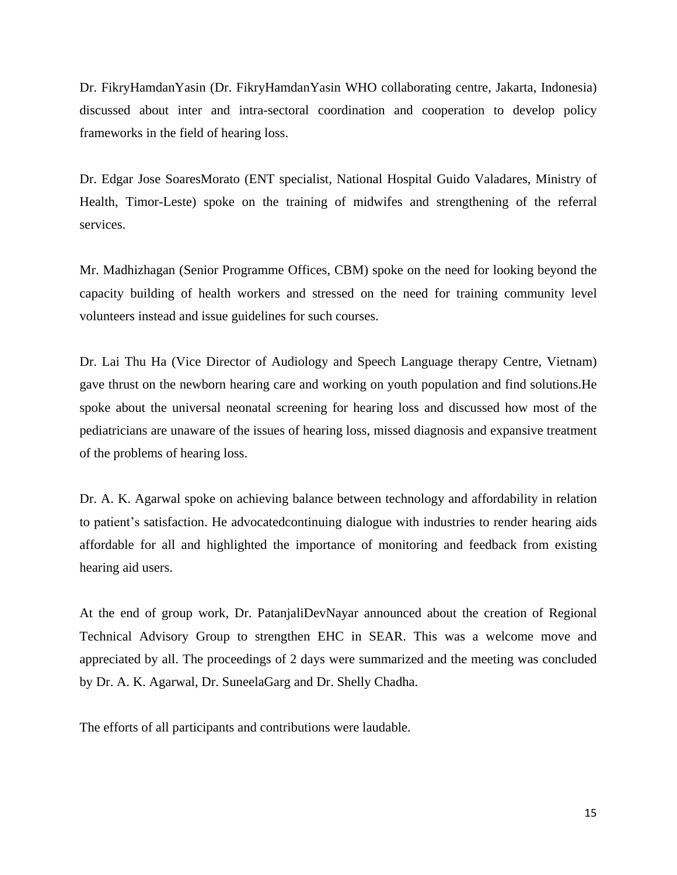Dr. FikryHamdanYasin (Dr. FikryHamdanYasin WHO collaborating centre, Jakarta, Indonesia) discussed about inter and intra-sectoral coordination and cooperation to develop policy frameworks in the field of hearing loss.

Dr. Edgar Jose SoaresMorato (ENT specialist, National Hospital Guido Valadares, Ministry of Health, Timor-Leste) spoke on the training of midwifes and strengthening of the referral services.

Mr. Madhizhagan (Senior Programme Offices, CBM) spoke on the need for looking beyond the capacity building of health workers and stressed on the need for training community level volunteers instead and issue guidelines for such courses.

Dr. Lai Thu Ha (Vice Director of Audiology and Speech Language therapy Centre, Vietnam) gave thrust on the newborn hearing care and working on youth population and find solutions.He spoke about the universal neonatal screening for hearing loss and discussed how most of the pediatricians are unaware of the issues of hearing loss, missed diagnosis and expansive treatment of the problems of hearing loss.

Dr. A. K. Agarwal spoke on achieving balance between technology and affordability in relation to patient's satisfaction. He advocatedcontinuing dialogue with industries to render hearing aids affordable for all and highlighted the importance of monitoring and feedback from existing hearing aid users.

At the end of group work, Dr. PatanjaliDevNayar announced about the creation of Regional Technical Advisory Group to strengthen EHC in SEAR. This was a welcome move and appreciated by all. The proceedings of 2 days were summarized and the meeting was concluded by Dr. A. K. Agarwal, Dr. SuneelaGarg and Dr. Shelly Chadha.

The efforts of all participants and contributions were laudable.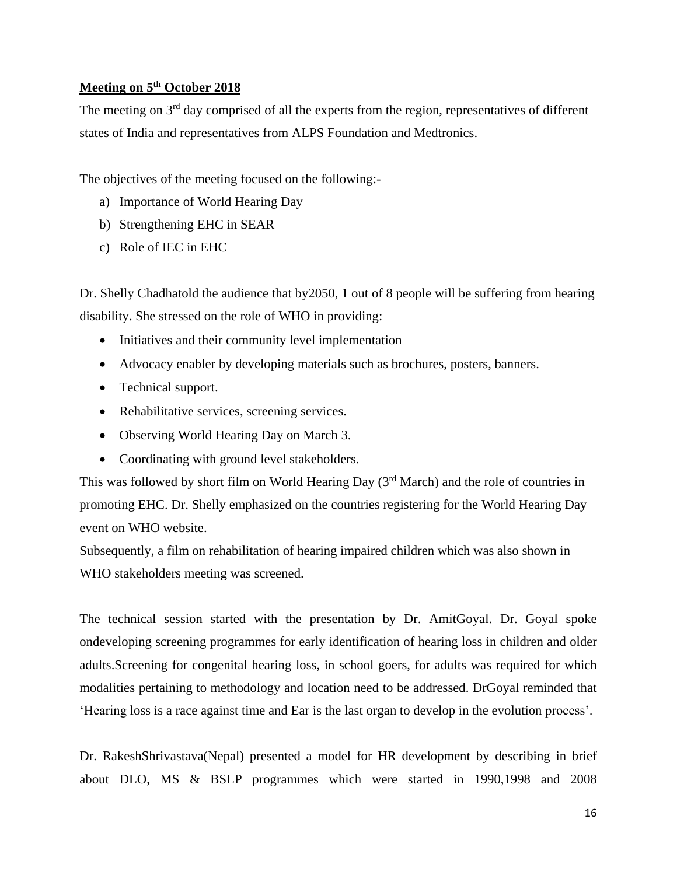# **Meeting on 5 th October 2018**

The meeting on 3<sup>rd</sup> day comprised of all the experts from the region, representatives of different states of India and representatives from ALPS Foundation and Medtronics.

The objectives of the meeting focused on the following:-

- a) Importance of World Hearing Day
- b) Strengthening EHC in SEAR
- c) Role of IEC in EHC

Dr. Shelly Chadhatold the audience that by2050, 1 out of 8 people will be suffering from hearing disability. She stressed on the role of WHO in providing:

- Initiatives and their community level implementation
- Advocacy enabler by developing materials such as brochures, posters, banners.
- Technical support.
- Rehabilitative services, screening services.
- Observing World Hearing Day on March 3.
- Coordinating with ground level stakeholders.

This was followed by short film on World Hearing Day  $(3<sup>rd</sup> March)$  and the role of countries in promoting EHC. Dr. Shelly emphasized on the countries registering for the World Hearing Day event on WHO website.

Subsequently, a film on rehabilitation of hearing impaired children which was also shown in WHO stakeholders meeting was screened.

The technical session started with the presentation by Dr. AmitGoyal. Dr. Goyal spoke ondeveloping screening programmes for early identification of hearing loss in children and older adults.Screening for congenital hearing loss, in school goers, for adults was required for which modalities pertaining to methodology and location need to be addressed. DrGoyal reminded that 'Hearing loss is a race against time and Ear is the last organ to develop in the evolution process'.

Dr. RakeshShrivastava(Nepal) presented a model for HR development by describing in brief about DLO, MS & BSLP programmes which were started in 1990,1998 and 2008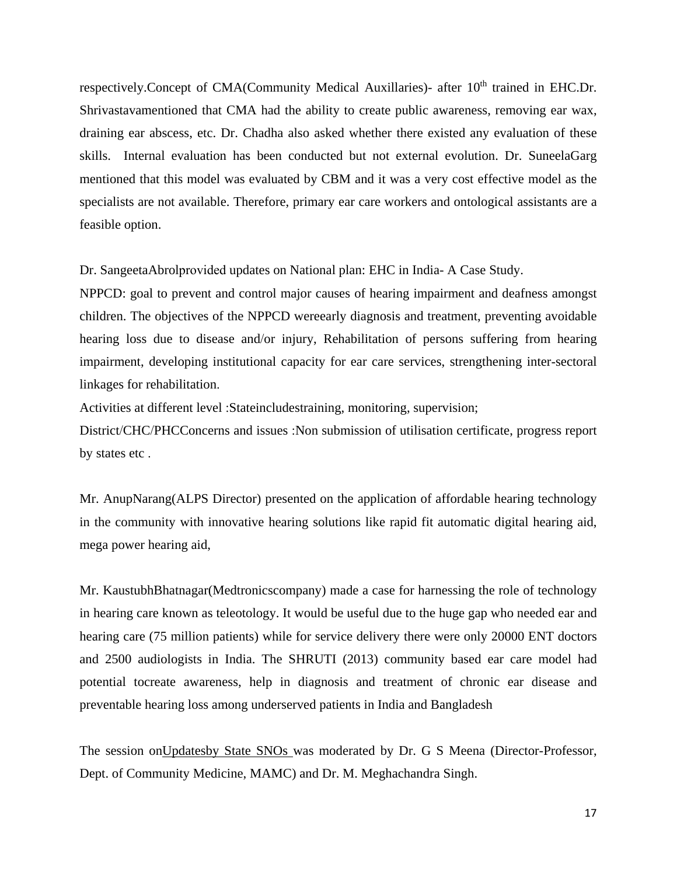respectively.Concept of CMA(Community Medical Auxillaries)- after 10<sup>th</sup> trained in EHC.Dr. Shrivastavamentioned that CMA had the ability to create public awareness, removing ear wax, draining ear abscess, etc. Dr. Chadha also asked whether there existed any evaluation of these skills. Internal evaluation has been conducted but not external evolution. Dr. SuneelaGarg mentioned that this model was evaluated by CBM and it was a very cost effective model as the specialists are not available. Therefore, primary ear care workers and ontological assistants are a feasible option.

Dr. SangeetaAbrolprovided updates on National plan: EHC in India- A Case Study.

NPPCD: goal to prevent and control major causes of hearing impairment and deafness amongst children. The objectives of the NPPCD wereearly diagnosis and treatment, preventing avoidable hearing loss due to disease and/or injury, Rehabilitation of persons suffering from hearing impairment, developing institutional capacity for ear care services, strengthening inter-sectoral linkages for rehabilitation.

Activities at different level :Stateincludestraining, monitoring, supervision;

District/CHC/PHCConcerns and issues :Non submission of utilisation certificate, progress report by states etc .

Mr. AnupNarang(ALPS Director) presented on the application of affordable hearing technology in the community with innovative hearing solutions like rapid fit automatic digital hearing aid, mega power hearing aid,

Mr. KaustubhBhatnagar(Medtronicscompany) made a case for harnessing the role of technology in hearing care known as teleotology. It would be useful due to the huge gap who needed ear and hearing care (75 million patients) while for service delivery there were only 20000 ENT doctors and 2500 audiologists in India. The SHRUTI (2013) community based ear care model had potential tocreate awareness, help in diagnosis and treatment of chronic ear disease and preventable hearing loss among underserved patients in India and Bangladesh

The session onUpdatesby State SNOs was moderated by Dr. G S Meena (Director-Professor, Dept. of Community Medicine, MAMC) and Dr. M. Meghachandra Singh.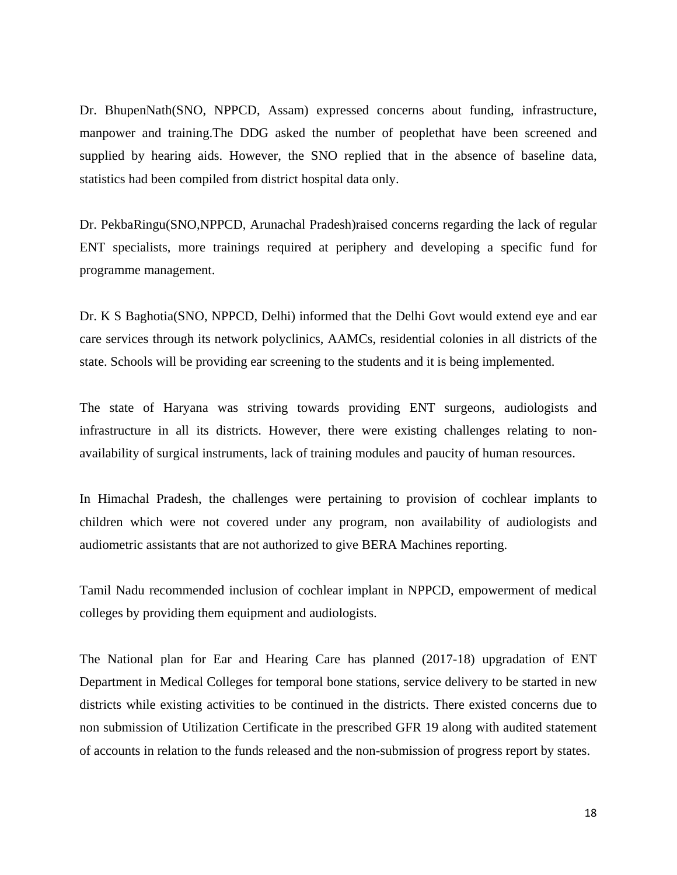Dr. BhupenNath(SNO, NPPCD, Assam) expressed concerns about funding, infrastructure, manpower and training.The DDG asked the number of peoplethat have been screened and supplied by hearing aids. However, the SNO replied that in the absence of baseline data, statistics had been compiled from district hospital data only.

Dr. PekbaRingu(SNO,NPPCD, Arunachal Pradesh)raised concerns regarding the lack of regular ENT specialists, more trainings required at periphery and developing a specific fund for programme management.

Dr. K S Baghotia(SNO, NPPCD, Delhi) informed that the Delhi Govt would extend eye and ear care services through its network polyclinics, AAMCs, residential colonies in all districts of the state. Schools will be providing ear screening to the students and it is being implemented.

The state of Haryana was striving towards providing ENT surgeons, audiologists and infrastructure in all its districts. However, there were existing challenges relating to nonavailability of surgical instruments, lack of training modules and paucity of human resources.

In Himachal Pradesh, the challenges were pertaining to provision of cochlear implants to children which were not covered under any program, non availability of audiologists and audiometric assistants that are not authorized to give BERA Machines reporting.

Tamil Nadu recommended inclusion of cochlear implant in NPPCD, empowerment of medical colleges by providing them equipment and audiologists.

The National plan for Ear and Hearing Care has planned (2017-18) upgradation of ENT Department in Medical Colleges for temporal bone stations, service delivery to be started in new districts while existing activities to be continued in the districts. There existed concerns due to non submission of Utilization Certificate in the prescribed GFR 19 along with audited statement of accounts in relation to the funds released and the non-submission of progress report by states.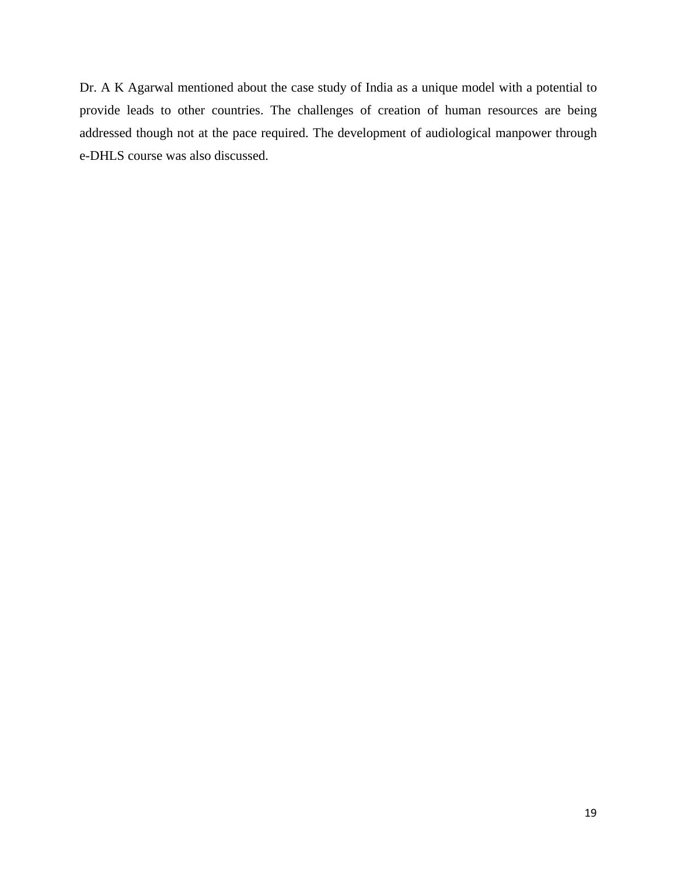Dr. A K Agarwal mentioned about the case study of India as a unique model with a potential to provide leads to other countries. The challenges of creation of human resources are being addressed though not at the pace required. The development of audiological manpower through e-DHLS course was also discussed.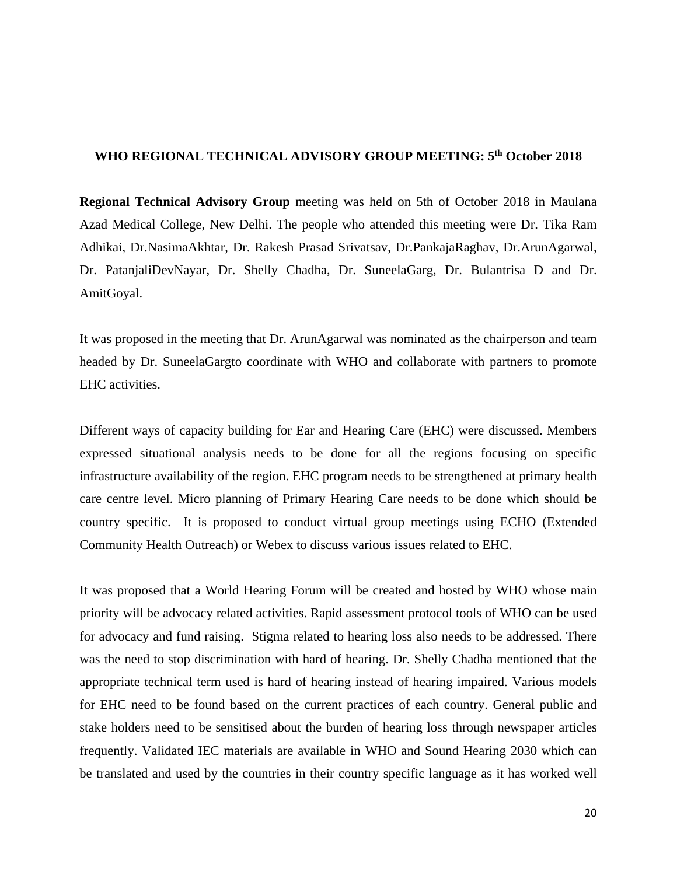#### **WHO REGIONAL TECHNICAL ADVISORY GROUP MEETING: 5 th October 2018**

**Regional Technical Advisory Group** meeting was held on 5th of October 2018 in Maulana Azad Medical College, New Delhi. The people who attended this meeting were Dr. Tika Ram Adhikai, Dr.NasimaAkhtar, Dr. Rakesh Prasad Srivatsav, Dr.PankajaRaghav, Dr.ArunAgarwal, Dr. PatanjaliDevNayar, Dr. Shelly Chadha, Dr. SuneelaGarg, Dr. Bulantrisa D and Dr. AmitGoyal.

It was proposed in the meeting that Dr. ArunAgarwal was nominated as the chairperson and team headed by Dr. SuneelaGargto coordinate with WHO and collaborate with partners to promote EHC activities.

Different ways of capacity building for Ear and Hearing Care (EHC) were discussed. Members expressed situational analysis needs to be done for all the regions focusing on specific infrastructure availability of the region. EHC program needs to be strengthened at primary health care centre level. Micro planning of Primary Hearing Care needs to be done which should be country specific. It is proposed to conduct virtual group meetings using ECHO (Extended Community Health Outreach) or Webex to discuss various issues related to EHC.

It was proposed that a World Hearing Forum will be created and hosted by WHO whose main priority will be advocacy related activities. Rapid assessment protocol tools of WHO can be used for advocacy and fund raising. Stigma related to hearing loss also needs to be addressed. There was the need to stop discrimination with hard of hearing. Dr. Shelly Chadha mentioned that the appropriate technical term used is hard of hearing instead of hearing impaired. Various models for EHC need to be found based on the current practices of each country. General public and stake holders need to be sensitised about the burden of hearing loss through newspaper articles frequently. Validated IEC materials are available in WHO and Sound Hearing 2030 which can be translated and used by the countries in their country specific language as it has worked well